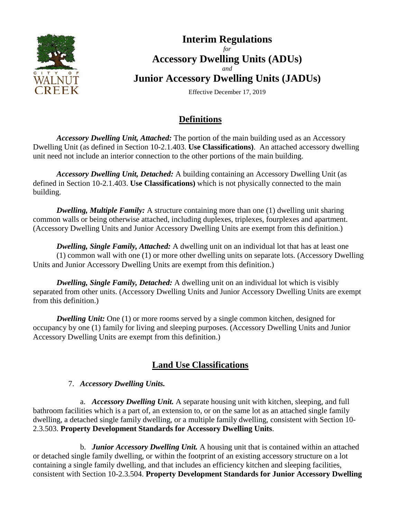

# **Interim Regulations** *for* **Accessory Dwelling Units (ADUs)** *and* **Junior Accessory Dwelling Units (JADUs)**

Effective December 17, 2019

# **Definitions**

*Accessory Dwelling Unit, Attached:* The portion of the main building used as an Accessory Dwelling Unit (as defined in Section 10-2.1.403. **Use Classifications)**. An attached accessory dwelling unit need not include an interior connection to the other portions of the main building.

*Accessory Dwelling Unit, Detached:* A building containing an Accessory Dwelling Unit (as defined in Section 10-2.1.403. **Use Classifications)** which is not physically connected to the main building.

*Dwelling, Multiple Family:* A structure containing more than one (1) dwelling unit sharing common walls or being otherwise attached, including duplexes, triplexes, fourplexes and apartment. (Accessory Dwelling Units and Junior Accessory Dwelling Units are exempt from this definition.)

*Dwelling, Single Family, Attached:* A dwelling unit on an individual lot that has at least one (1) common wall with one (1) or more other dwelling units on separate lots. (Accessory Dwelling Units and Junior Accessory Dwelling Units are exempt from this definition.)

*Dwelling, Single Family, Detached:* A dwelling unit on an individual lot which is visibly separated from other units. (Accessory Dwelling Units and Junior Accessory Dwelling Units are exempt from this definition.)

*Dwelling Unit:* One (1) or more rooms served by a single common kitchen, designed for occupancy by one (1) family for living and sleeping purposes. (Accessory Dwelling Units and Junior Accessory Dwelling Units are exempt from this definition.)

# **Land Use Classifications**

### 7. *Accessory Dwelling Units.*

a. *Accessory Dwelling Unit.* A separate housing unit with kitchen, sleeping, and full bathroom facilities which is a part of, an extension to, or on the same lot as an attached single family dwelling, a detached single family dwelling, or a multiple family dwelling, consistent with Section 10- 2.3.503. **Property Development Standards for Accessory Dwelling Units**.

b. *Junior Accessory Dwelling Unit.* A housing unit that is contained within an attached or detached single family dwelling, or within the footprint of an existing accessory structure on a lot containing a single family dwelling, and that includes an efficiency kitchen and sleeping facilities, consistent with Section 10-2.3.504. **Property Development Standards for Junior Accessory Dwelling**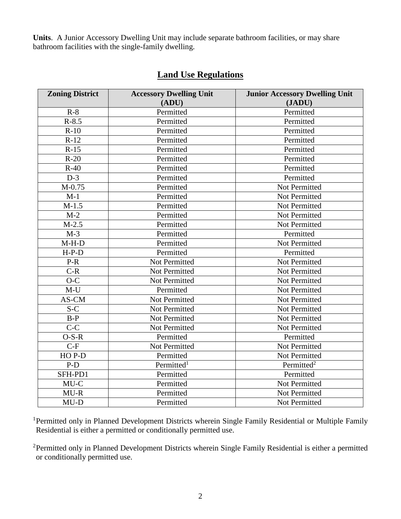**Units**. A Junior Accessory Dwelling Unit may include separate bathroom facilities, or may share bathroom facilities with the single-family dwelling.

| <b>Zoning District</b> | <b>Accessory Dwelling Unit</b> | <b>Junior Accessory Dwelling Unit</b> |
|------------------------|--------------------------------|---------------------------------------|
|                        | (ADU)                          | (JADU)                                |
| $R-8$                  | Permitted                      | Permitted                             |
| $R - 8.5$              | Permitted                      | Permitted                             |
| $R-10$                 | Permitted                      | Permitted                             |
| $R-12$                 | Permitted                      | Permitted                             |
| $R-15$                 | Permitted                      | Permitted                             |
| $R-20$                 | Permitted                      | Permitted                             |
| $R-40$                 | Permitted                      | Permitted                             |
| $D-3$                  | Permitted                      | Permitted                             |
| $M-0.75$               | Permitted                      | <b>Not Permitted</b>                  |
| $M-1$                  | Permitted                      | Not Permitted                         |
| $M-1.5$                | Permitted                      | Not Permitted                         |
| $M-2$                  | Permitted                      | Not Permitted                         |
| $M-2.5$                | Permitted                      | Not Permitted                         |
| $M-3$                  | Permitted                      | Permitted                             |
| $M-H-D$                | Permitted                      | Not Permitted                         |
| $H-P-D$                | Permitted                      | Permitted                             |
| $P-R$                  | Not Permitted                  | Not Permitted                         |
| $C-R$                  | Not Permitted                  | <b>Not Permitted</b>                  |
| $O-C$                  | Not Permitted                  | <b>Not Permitted</b>                  |
| $M-U$                  | Permitted                      | <b>Not Permitted</b>                  |
| AS-CM                  | Not Permitted                  | Not Permitted                         |
| $S-C$                  | Not Permitted                  | <b>Not Permitted</b>                  |
| $B-P$                  | Not Permitted                  | <b>Not Permitted</b>                  |
| $\overline{C-C}$       | Not Permitted                  | Not Permitted                         |
| $O-S-R$                | Permitted                      | Permitted                             |
| $C-F$                  | Not Permitted                  | Not Permitted                         |
| HOP-D                  | Permitted                      | Not Permitted                         |
| P-D                    | Permitted <sup>1</sup>         | Permitted <sup>2</sup>                |
| SFH-PD1                | Permitted                      | Permitted                             |
| MU-C                   | Permitted                      | Not Permitted                         |
| $MU-R$                 | Permitted                      | Not Permitted                         |
| $MU-D$                 | Permitted                      | Not Permitted                         |

# **Land Use Regulations**

<sup>1</sup>Permitted only in Planned Development Districts wherein Single Family Residential or Multiple Family Residential is either a permitted or conditionally permitted use.

2Permitted only in Planned Development Districts wherein Single Family Residential is either a permitted or conditionally permitted use.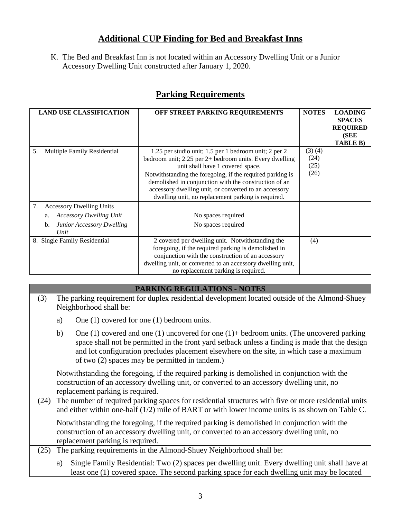## **Additional CUP Finding for Bed and Breakfast Inns**

K. The Bed and Breakfast Inn is not located within an Accessory Dwelling Unit or a Junior Accessory Dwelling Unit constructed after January 1, 2020.

| <b>LAND USE CLASSIFICATION</b>                 | OFF STREET PARKING REQUIREMENTS                                                                                                                                                                                                                                                                                                                                                               | <b>NOTES</b>                   | <b>LOADING</b><br><b>SPACES</b><br><b>REQUIRED</b><br>(SEE<br><b>TABLE B)</b> |
|------------------------------------------------|-----------------------------------------------------------------------------------------------------------------------------------------------------------------------------------------------------------------------------------------------------------------------------------------------------------------------------------------------------------------------------------------------|--------------------------------|-------------------------------------------------------------------------------|
| Multiple Family Residential<br>5.              | 1.25 per studio unit; 1.5 per 1 bedroom unit; 2 per 2<br>bedroom unit; $2.25$ per $2+$ bedroom units. Every dwelling<br>unit shall have 1 covered space.<br>Notwithstanding the foregoing, if the required parking is<br>demolished in conjunction with the construction of an<br>accessory dwelling unit, or converted to an accessory<br>dwelling unit, no replacement parking is required. | (3)(4)<br>(24)<br>(25)<br>(26) |                                                                               |
| 7.<br><b>Accessory Dwelling Units</b>          |                                                                                                                                                                                                                                                                                                                                                                                               |                                |                                                                               |
| <b>Accessory Dwelling Unit</b><br>a.           | No spaces required                                                                                                                                                                                                                                                                                                                                                                            |                                |                                                                               |
| <b>Junior Accessory Dwelling</b><br>b.<br>Unit | No spaces required                                                                                                                                                                                                                                                                                                                                                                            |                                |                                                                               |
| 8. Single Family Residential                   | 2 covered per dwelling unit. Notwithstanding the<br>foregoing, if the required parking is demolished in<br>conjunction with the construction of an accessory<br>dwelling unit, or converted to an accessory dwelling unit,<br>no replacement parking is required.                                                                                                                             | (4)                            |                                                                               |

## **Parking Requirements**

#### **PARKING REGULATIONS - NOTES**

(3) The parking requirement for duplex residential development located outside of the Almond-Shuey Neighborhood shall be: a) One (1) covered for one (1) bedroom units.

b) One (1) covered and one (1) uncovered for one (1)+ bedroom units. (The uncovered parking space shall not be permitted in the front yard setback unless a finding is made that the design and lot configuration precludes placement elsewhere on the site, in which case a maximum of two (2) spaces may be permitted in tandem.)

Notwithstanding the foregoing, if the required parking is demolished in conjunction with the construction of an accessory dwelling unit, or converted to an accessory dwelling unit, no replacement parking is required.

(24) The number of required parking spaces for residential structures with five or more residential units and either within one-half (1/2) mile of BART or with lower income units is as shown on Table C.

Notwithstanding the foregoing, if the required parking is demolished in conjunction with the construction of an accessory dwelling unit, or converted to an accessory dwelling unit, no replacement parking is required.

(25) The parking requirements in the Almond-Shuey Neighborhood shall be:

a) Single Family Residential: Two (2) spaces per dwelling unit. Every dwelling unit shall have at least one (1) covered space. The second parking space for each dwelling unit may be located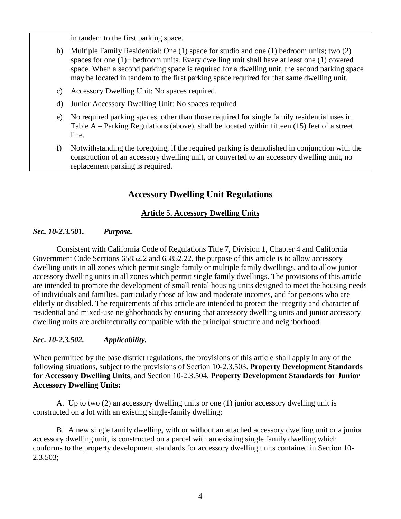in tandem to the first parking space.

- b) Multiple Family Residential: One (1) space for studio and one (1) bedroom units; two (2) spaces for one (1)+ bedroom units. Every dwelling unit shall have at least one (1) covered space. When a second parking space is required for a dwelling unit, the second parking space may be located in tandem to the first parking space required for that same dwelling unit.
- c) Accessory Dwelling Unit: No spaces required.
- d) Junior Accessory Dwelling Unit: No spaces required
- e) No required parking spaces, other than those required for single family residential uses in Table A – Parking Regulations (above), shall be located within fifteen (15) feet of a street line.
- f) Notwithstanding the foregoing, if the required parking is demolished in conjunction with the construction of an accessory dwelling unit, or converted to an accessory dwelling unit, no replacement parking is required.

## **Accessory Dwelling Unit Regulations**

### **Article 5. Accessory Dwelling Units**

### *Sec. 10-2.3.501. Purpose.*

Consistent with California Code of Regulations Title 7, Division 1, Chapter 4 and California Government Code Sections 65852.2 and 65852.22, the purpose of this article is to allow accessory dwelling units in all zones which permit single family or multiple family dwellings, and to allow junior accessory dwelling units in all zones which permit single family dwellings. The provisions of this article are intended to promote the development of small rental housing units designed to meet the housing needs of individuals and families, particularly those of low and moderate incomes, and for persons who are elderly or disabled. The requirements of this article are intended to protect the integrity and character of residential and mixed-use neighborhoods by ensuring that accessory dwelling units and junior accessory dwelling units are architecturally compatible with the principal structure and neighborhood.

#### *Sec. 10-2.3.502. Applicability.*

When permitted by the base district regulations, the provisions of this article shall apply in any of the following situations, subject to the provisions of Section 10-2.3.503. **Property Development Standards for Accessory Dwelling Units**, and Section 10-2.3.504. **Property Development Standards for Junior Accessory Dwelling Units:**

A. Up to two (2) an accessory dwelling units or one (1) junior accessory dwelling unit is constructed on a lot with an existing single-family dwelling;

B. A new single family dwelling, with or without an attached accessory dwelling unit or a junior accessory dwelling unit, is constructed on a parcel with an existing single family dwelling which conforms to the property development standards for accessory dwelling units contained in Section 10- 2.3.503;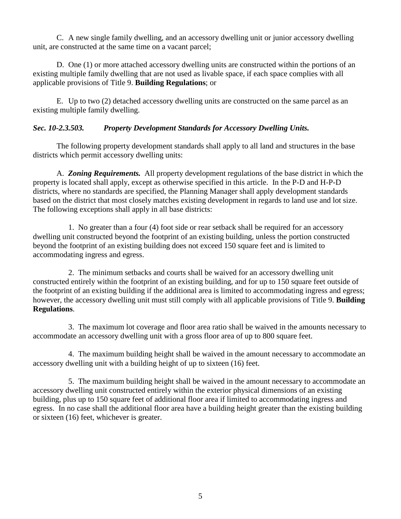C. A new single family dwelling, and an accessory dwelling unit or junior accessory dwelling unit, are constructed at the same time on a vacant parcel;

D. One (1) or more attached accessory dwelling units are constructed within the portions of an existing multiple family dwelling that are not used as livable space, if each space complies with all applicable provisions of Title 9. **Building Regulations**; or

E. Up to two (2) detached accessory dwelling units are constructed on the same parcel as an existing multiple family dwelling.

### *Sec. 10-2.3.503. Property Development Standards for Accessory Dwelling Units.*

The following property development standards shall apply to all land and structures in the base districts which permit accessory dwelling units:

A. *Zoning Requirements.* All property development regulations of the base district in which the property is located shall apply, except as otherwise specified in this article. In the P-D and H-P-D districts, where no standards are specified, the Planning Manager shall apply development standards based on the district that most closely matches existing development in regards to land use and lot size. The following exceptions shall apply in all base districts:

1. No greater than a four (4) foot side or rear setback shall be required for an accessory dwelling unit constructed beyond the footprint of an existing building, unless the portion constructed beyond the footprint of an existing building does not exceed 150 square feet and is limited to accommodating ingress and egress.

2. The minimum setbacks and courts shall be waived for an accessory dwelling unit constructed entirely within the footprint of an existing building, and for up to 150 square feet outside of the footprint of an existing building if the additional area is limited to accommodating ingress and egress; however, the accessory dwelling unit must still comply with all applicable provisions of Title 9. **Building Regulations**.

3. The maximum lot coverage and floor area ratio shall be waived in the amounts necessary to accommodate an accessory dwelling unit with a gross floor area of up to 800 square feet.

4. The maximum building height shall be waived in the amount necessary to accommodate an accessory dwelling unit with a building height of up to sixteen (16) feet.

5. The maximum building height shall be waived in the amount necessary to accommodate an accessory dwelling unit constructed entirely within the exterior physical dimensions of an existing building, plus up to 150 square feet of additional floor area if limited to accommodating ingress and egress. In no case shall the additional floor area have a building height greater than the existing building or sixteen (16) feet, whichever is greater.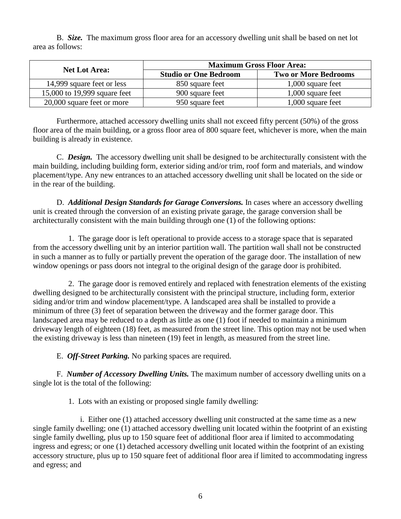B. *Size.* The maximum gross floor area for an accessory dwelling unit shall be based on net lot area as follows:

| <b>Net Lot Area:</b>         | <b>Maximum Gross Floor Area:</b> |                             |  |
|------------------------------|----------------------------------|-----------------------------|--|
|                              | <b>Studio or One Bedroom</b>     | <b>Two or More Bedrooms</b> |  |
| 14,999 square feet or less   | 850 square feet                  | 1,000 square feet           |  |
| 15,000 to 19,999 square feet | 900 square feet                  | 1,000 square feet           |  |
| 20,000 square feet or more   | 950 square feet                  | 1,000 square feet           |  |

Furthermore, attached accessory dwelling units shall not exceed fifty percent (50%) of the gross floor area of the main building, or a gross floor area of 800 square feet, whichever is more, when the main building is already in existence.

C. *Design.* The accessory dwelling unit shall be designed to be architecturally consistent with the main building, including building form, exterior siding and/or trim, roof form and materials, and window placement/type. Any new entrances to an attached accessory dwelling unit shall be located on the side or in the rear of the building.

D. *Additional Design Standards for Garage Conversions.* In cases where an accessory dwelling unit is created through the conversion of an existing private garage, the garage conversion shall be architecturally consistent with the main building through one (1) of the following options:

1. The garage door is left operational to provide access to a storage space that is separated from the accessory dwelling unit by an interior partition wall. The partition wall shall not be constructed in such a manner as to fully or partially prevent the operation of the garage door. The installation of new window openings or pass doors not integral to the original design of the garage door is prohibited.

2. The garage door is removed entirely and replaced with fenestration elements of the existing dwelling designed to be architecturally consistent with the principal structure, including form, exterior siding and/or trim and window placement/type. A landscaped area shall be installed to provide a minimum of three (3) feet of separation between the driveway and the former garage door. This landscaped area may be reduced to a depth as little as one (1) foot if needed to maintain a minimum driveway length of eighteen (18) feet, as measured from the street line. This option may not be used when the existing driveway is less than nineteen (19) feet in length, as measured from the street line.

E. *Off-Street Parking.* No parking spaces are required.

F. *Number of Accessory Dwelling Units.* The maximum number of accessory dwelling units on a single lot is the total of the following:

1. Lots with an existing or proposed single family dwelling:

i. Either one (1) attached accessory dwelling unit constructed at the same time as a new single family dwelling; one (1) attached accessory dwelling unit located within the footprint of an existing single family dwelling, plus up to 150 square feet of additional floor area if limited to accommodating ingress and egress; or one (1) detached accessory dwelling unit located within the footprint of an existing accessory structure, plus up to 150 square feet of additional floor area if limited to accommodating ingress and egress; and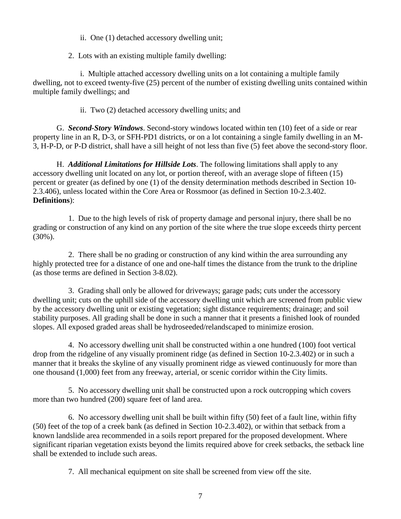ii. One (1) detached accessory dwelling unit;

2. Lots with an existing multiple family dwelling:

i. Multiple attached accessory dwelling units on a lot containing a multiple family dwelling, not to exceed twenty-five (25) percent of the number of existing dwelling units contained within multiple family dwellings; and

ii. Two (2) detached accessory dwelling units; and

G. *Second-Story Windows*. Second-story windows located within ten (10) feet of a side or rear property line in an R, D-3, or SFH-PD1 districts, or on a lot containing a single family dwelling in an M-3, H-P-D, or P-D district, shall have a sill height of not less than five (5) feet above the second-story floor.

H. *Additional Limitations for Hillside Lots*. The following limitations shall apply to any accessory dwelling unit located on any lot, or portion thereof, with an average slope of fifteen (15) percent or greater (as defined by one (1) of the density determination methods described in Section 10- 2.3.406), unless located within the Core Area or Rossmoor (as defined in Section 10-2.3.402. **Definitions**):

1. Due to the high levels of risk of property damage and personal injury, there shall be no grading or construction of any kind on any portion of the site where the true slope exceeds thirty percent (30%).

2. There shall be no grading or construction of any kind within the area surrounding any highly protected tree for a distance of one and one-half times the distance from the trunk to the dripline (as those terms are defined in Section 3-8.02).

3. Grading shall only be allowed for driveways; garage pads; cuts under the accessory dwelling unit; cuts on the uphill side of the accessory dwelling unit which are screened from public view by the accessory dwelling unit or existing vegetation; sight distance requirements; drainage; and soil stability purposes. All grading shall be done in such a manner that it presents a finished look of rounded slopes. All exposed graded areas shall be hydroseeded/relandscaped to minimize erosion.

4. No accessory dwelling unit shall be constructed within a one hundred (100) foot vertical drop from the ridgeline of any visually prominent ridge (as defined in Section 10-2.3.402) or in such a manner that it breaks the skyline of any visually prominent ridge as viewed continuously for more than one thousand (1,000) feet from any freeway, arterial, or scenic corridor within the City limits.

5. No accessory dwelling unit shall be constructed upon a rock outcropping which covers more than two hundred (200) square feet of land area.

6. No accessory dwelling unit shall be built within fifty (50) feet of a fault line, within fifty (50) feet of the top of a creek bank (as defined in Section 10-2.3.402), or within that setback from a known landslide area recommended in a soils report prepared for the proposed development. Where significant riparian vegetation exists beyond the limits required above for creek setbacks, the setback line shall be extended to include such areas.

7. All mechanical equipment on site shall be screened from view off the site.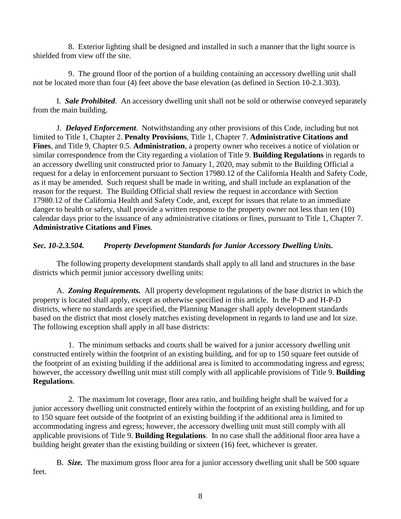8. Exterior lighting shall be designed and installed in such a manner that the light source is shielded from view off the site.

9. The ground floor of the portion of a building containing an accessory dwelling unit shall not be located more than four (4) feet above the base elevation (as defined in Section 10-2.1.303).

I. *Sale Prohibited*. An accessory dwelling unit shall not be sold or otherwise conveyed separately from the main building.

J. *Delayed Enforcement*. Notwithstanding any other provisions of this Code, including but not limited to Title 1, Chapter 2. **Penalty Provisions**, Title 1, Chapter 7. **Administrative Citations and Fines**, and Title 9, Chapter 0.5. **Administration**, a property owner who receives a notice of violation or similar correspondence from the City regarding a violation of Title 9. **Building Regulations** in regards to an accessory dwelling unit constructed prior to January 1, 2020, may submit to the Building Official a request for a delay in enforcement pursuant to Section 17980.12 of the California Health and Safety Code, as it may be amended. Such request shall be made in writing, and shall include an explanation of the reason for the request. The Building Official shall review the request in accordance with Section 17980.12 of the California Health and Safety Code, and, except for issues that relate to an immediate danger to health or safety, shall provide a written response to the property owner not less than ten (10) calendar days prior to the issuance of any administrative citations or fines, pursuant to Title 1, Chapter 7. **Administrative Citations and Fines**.

### *Sec. 10-2.3.504. Property Development Standards for Junior Accessory Dwelling Units.*

The following property development standards shall apply to all land and structures in the base districts which permit junior accessory dwelling units:

A. *Zoning Requirements.* All property development regulations of the base district in which the property is located shall apply, except as otherwise specified in this article. In the P-D and H-P-D districts, where no standards are specified, the Planning Manager shall apply development standards based on the district that most closely matches existing development in regards to land use and lot size. The following exception shall apply in all base districts:

1. The minimum setbacks and courts shall be waived for a junior accessory dwelling unit constructed entirely within the footprint of an existing building, and for up to 150 square feet outside of the footprint of an existing building if the additional area is limited to accommodating ingress and egress; however, the accessory dwelling unit must still comply with all applicable provisions of Title 9. **Building Regulations**.

2. The maximum lot coverage, floor area ratio, and building height shall be waived for a junior accessory dwelling unit constructed entirely within the footprint of an existing building, and for up to 150 square feet outside of the footprint of an existing building if the additional area is limited to accommodating ingress and egress; however, the accessory dwelling unit must still comply with all applicable provisions of Title 9. **Building Regulations**. In no case shall the additional floor area have a building height greater than the existing building or sixteen (16) feet, whichever is greater.

B. *Size.* The maximum gross floor area for a junior accessory dwelling unit shall be 500 square feet.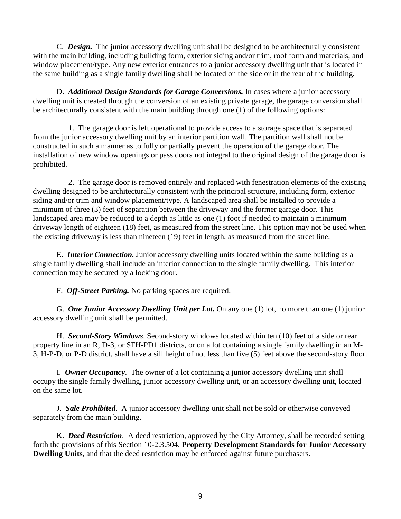C. *Design.* The junior accessory dwelling unit shall be designed to be architecturally consistent with the main building, including building form, exterior siding and/or trim, roof form and materials, and window placement/type. Any new exterior entrances to a junior accessory dwelling unit that is located in the same building as a single family dwelling shall be located on the side or in the rear of the building.

D. *Additional Design Standards for Garage Conversions.* In cases where a junior accessory dwelling unit is created through the conversion of an existing private garage, the garage conversion shall be architecturally consistent with the main building through one (1) of the following options:

1. The garage door is left operational to provide access to a storage space that is separated from the junior accessory dwelling unit by an interior partition wall. The partition wall shall not be constructed in such a manner as to fully or partially prevent the operation of the garage door. The installation of new window openings or pass doors not integral to the original design of the garage door is prohibited.

2. The garage door is removed entirely and replaced with fenestration elements of the existing dwelling designed to be architecturally consistent with the principal structure, including form, exterior siding and/or trim and window placement/type. A landscaped area shall be installed to provide a minimum of three (3) feet of separation between the driveway and the former garage door. This landscaped area may be reduced to a depth as little as one (1) foot if needed to maintain a minimum driveway length of eighteen (18) feet, as measured from the street line. This option may not be used when the existing driveway is less than nineteen (19) feet in length, as measured from the street line.

E. *Interior Connection.* Junior accessory dwelling units located within the same building as a single family dwelling shall include an interior connection to the single family dwelling. This interior connection may be secured by a locking door.

F. *Off-Street Parking.* No parking spaces are required.

G. *One Junior Accessory Dwelling Unit per Lot.* On any one (1) lot, no more than one (1) junior accessory dwelling unit shall be permitted.

H. *Second-Story Windows*. Second-story windows located within ten (10) feet of a side or rear property line in an R, D-3, or SFH-PD1 districts, or on a lot containing a single family dwelling in an M-3, H-P-D, or P-D district, shall have a sill height of not less than five (5) feet above the second-story floor.

I. *Owner Occupancy*. The owner of a lot containing a junior accessory dwelling unit shall occupy the single family dwelling, junior accessory dwelling unit, or an accessory dwelling unit, located on the same lot.

J. *Sale Prohibited*. A junior accessory dwelling unit shall not be sold or otherwise conveyed separately from the main building.

K. *Deed Restriction*. A deed restriction, approved by the City Attorney, shall be recorded setting forth the provisions of this Section 10-2.3.504. **Property Development Standards for Junior Accessory Dwelling Units**, and that the deed restriction may be enforced against future purchasers.